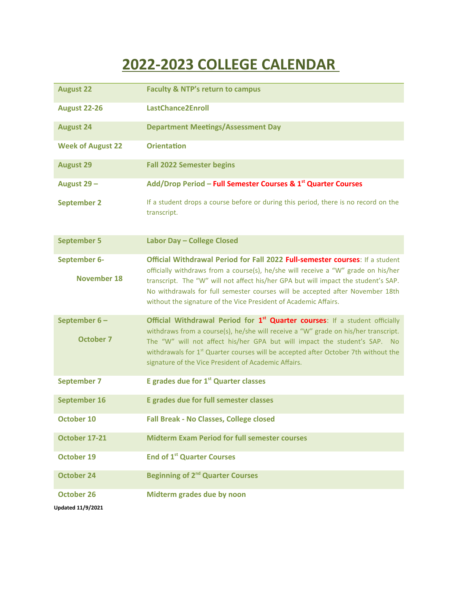## **2022-2023 COLLEGE CALENDAR**

| <b>August 22</b>                 | <b>Faculty &amp; NTP's return to campus</b>                                                                                                                                                                                                                                                                                                                                                                          |
|----------------------------------|----------------------------------------------------------------------------------------------------------------------------------------------------------------------------------------------------------------------------------------------------------------------------------------------------------------------------------------------------------------------------------------------------------------------|
| <b>August 22-26</b>              | LastChance2Enroll                                                                                                                                                                                                                                                                                                                                                                                                    |
| <b>August 24</b>                 | <b>Department Meetings/Assessment Day</b>                                                                                                                                                                                                                                                                                                                                                                            |
| <b>Week of August 22</b>         | <b>Orientation</b>                                                                                                                                                                                                                                                                                                                                                                                                   |
| <b>August 29</b>                 | <b>Fall 2022 Semester begins</b>                                                                                                                                                                                                                                                                                                                                                                                     |
| August 29 -                      | Add/Drop Period - Full Semester Courses & 1 <sup>st</sup> Quarter Courses                                                                                                                                                                                                                                                                                                                                            |
| <b>September 2</b>               | If a student drops a course before or during this period, there is no record on the<br>transcript.                                                                                                                                                                                                                                                                                                                   |
| <b>September 5</b>               | <b>Labor Day - College Closed</b>                                                                                                                                                                                                                                                                                                                                                                                    |
| September 6-<br>November 18      | Official Withdrawal Period for Fall 2022 Full-semester courses: If a student<br>officially withdraws from a course(s), he/she will receive a "W" grade on his/her<br>transcript. The "W" will not affect his/her GPA but will impact the student's SAP.<br>No withdrawals for full semester courses will be accepted after November 18th<br>without the signature of the Vice President of Academic Affairs.         |
| September 6-<br><b>October 7</b> | Official Withdrawal Period for 1 <sup>st</sup> Quarter courses: If a student officially<br>withdraws from a course(s), he/she will receive a "W" grade on his/her transcript.<br>The "W" will not affect his/her GPA but will impact the student's SAP. No<br>withdrawals for 1 <sup>st</sup> Quarter courses will be accepted after October 7th without the<br>signature of the Vice President of Academic Affairs. |
| <b>September 7</b>               | E grades due for 1 <sup>st</sup> Quarter classes                                                                                                                                                                                                                                                                                                                                                                     |
| <b>September 16</b>              | <b>E grades due for full semester classes</b>                                                                                                                                                                                                                                                                                                                                                                        |
| October 10                       | <b>Fall Break - No Classes, College closed</b>                                                                                                                                                                                                                                                                                                                                                                       |
| October 17-21                    | <b>Midterm Exam Period for full semester courses</b>                                                                                                                                                                                                                                                                                                                                                                 |
| October 19                       | <b>End of 1st Quarter Courses</b>                                                                                                                                                                                                                                                                                                                                                                                    |
| <b>October 24</b>                | <b>Beginning of 2<sup>nd</sup> Quarter Courses</b>                                                                                                                                                                                                                                                                                                                                                                   |
| <b>October 26</b>                | Midterm grades due by noon                                                                                                                                                                                                                                                                                                                                                                                           |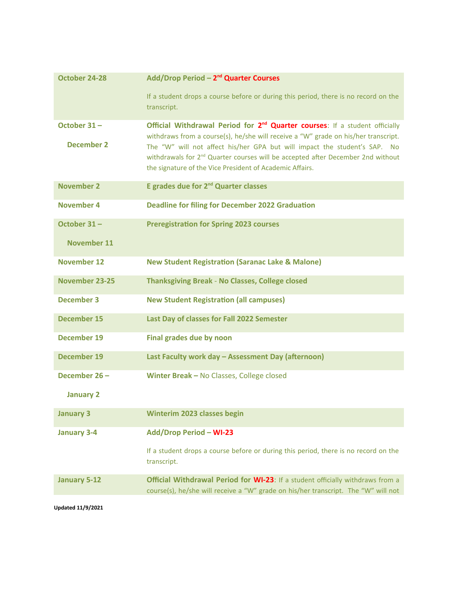| October 24-28                    | Add/Drop Period - 2 <sup>nd</sup> Quarter Courses                                                                                                                                                                                                                                                                                                                                                                     |
|----------------------------------|-----------------------------------------------------------------------------------------------------------------------------------------------------------------------------------------------------------------------------------------------------------------------------------------------------------------------------------------------------------------------------------------------------------------------|
|                                  | If a student drops a course before or during this period, there is no record on the<br>transcript.                                                                                                                                                                                                                                                                                                                    |
| October 31-<br><b>December 2</b> | Official Withdrawal Period for 2 <sup>nd</sup> Quarter courses: If a student officially<br>withdraws from a course(s), he/she will receive a "W" grade on his/her transcript.<br>The "W" will not affect his/her GPA but will impact the student's SAP. No<br>withdrawals for 2 <sup>nd</sup> Quarter courses will be accepted after December 2nd without<br>the signature of the Vice President of Academic Affairs. |
| <b>November 2</b>                | E grades due for 2 <sup>nd</sup> Quarter classes                                                                                                                                                                                                                                                                                                                                                                      |
| November 4                       | <b>Deadline for filing for December 2022 Graduation</b>                                                                                                                                                                                                                                                                                                                                                               |
| October 31-                      | <b>Preregistration for Spring 2023 courses</b>                                                                                                                                                                                                                                                                                                                                                                        |
| <b>November 11</b>               |                                                                                                                                                                                                                                                                                                                                                                                                                       |
| <b>November 12</b>               | <b>New Student Registration (Saranac Lake &amp; Malone)</b>                                                                                                                                                                                                                                                                                                                                                           |
| November 23-25                   | <b>Thanksgiving Break - No Classes, College closed</b>                                                                                                                                                                                                                                                                                                                                                                |
| <b>December 3</b>                | <b>New Student Registration (all campuses)</b>                                                                                                                                                                                                                                                                                                                                                                        |
| <b>December 15</b>               | Last Day of classes for Fall 2022 Semester                                                                                                                                                                                                                                                                                                                                                                            |
| <b>December 19</b>               | Final grades due by noon                                                                                                                                                                                                                                                                                                                                                                                              |
| <b>December 19</b>               | Last Faculty work day - Assessment Day (afternoon)                                                                                                                                                                                                                                                                                                                                                                    |
| December 26-                     | Winter Break - No Classes, College closed                                                                                                                                                                                                                                                                                                                                                                             |
| <b>January 2</b>                 |                                                                                                                                                                                                                                                                                                                                                                                                                       |
| <b>January 3</b>                 | <b>Winterim 2023 classes begin</b>                                                                                                                                                                                                                                                                                                                                                                                    |
| <b>January 3-4</b>               | <b>Add/Drop Period - WI-23</b>                                                                                                                                                                                                                                                                                                                                                                                        |
|                                  | If a student drops a course before or during this period, there is no record on the<br>transcript.                                                                                                                                                                                                                                                                                                                    |
| <b>January 5-12</b>              | Official Withdrawal Period for WI-23: If a student officially withdraws from a<br>course(s), he/she will receive a "W" grade on his/her transcript. The "W" will not                                                                                                                                                                                                                                                  |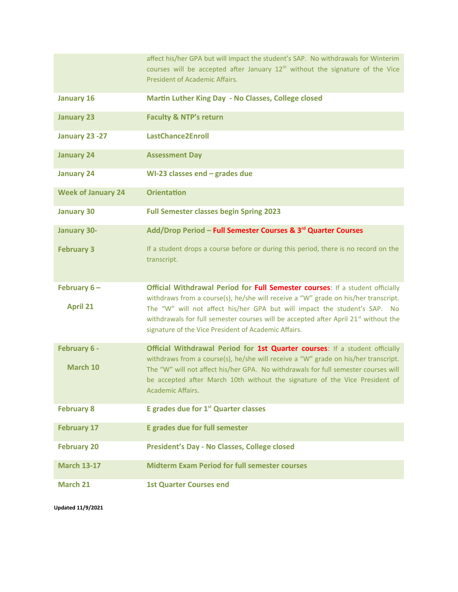|                                | affect his/her GPA but will impact the student's SAP. No withdrawals for Winterim<br>courses will be accepted after January 12 <sup>th</sup> without the signature of the Vice<br>President of Academic Affairs.                                                                                                                                                                                            |
|--------------------------------|-------------------------------------------------------------------------------------------------------------------------------------------------------------------------------------------------------------------------------------------------------------------------------------------------------------------------------------------------------------------------------------------------------------|
| <b>January 16</b>              | Martin Luther King Day - No Classes, College closed                                                                                                                                                                                                                                                                                                                                                         |
| <b>January 23</b>              | <b>Faculty &amp; NTP's return</b>                                                                                                                                                                                                                                                                                                                                                                           |
| January 23 - 27                | LastChance2Enroll                                                                                                                                                                                                                                                                                                                                                                                           |
| <b>January 24</b>              | <b>Assessment Day</b>                                                                                                                                                                                                                                                                                                                                                                                       |
| <b>January 24</b>              | WI-23 classes end $-$ grades due                                                                                                                                                                                                                                                                                                                                                                            |
| <b>Week of January 24</b>      | <b>Orientation</b>                                                                                                                                                                                                                                                                                                                                                                                          |
| <b>January 30</b>              | <b>Full Semester classes begin Spring 2023</b>                                                                                                                                                                                                                                                                                                                                                              |
| <b>January 30-</b>             | Add/Drop Period - Full Semester Courses & 3 <sup>rd</sup> Quarter Courses                                                                                                                                                                                                                                                                                                                                   |
| <b>February 3</b>              | If a student drops a course before or during this period, there is no record on the<br>transcript.                                                                                                                                                                                                                                                                                                          |
| February 6-<br><b>April 21</b> | Official Withdrawal Period for Full Semester courses: If a student officially<br>withdraws from a course(s), he/she will receive a "W" grade on his/her transcript.<br>The "W" will not affect his/her GPA but will impact the student's SAP. No<br>withdrawals for full semester courses will be accepted after April 21 <sup>st</sup> without the<br>signature of the Vice President of Academic Affairs. |
| February 6 -<br>March 10       | Official Withdrawal Period for 1st Quarter courses: If a student officially<br>withdraws from a course(s), he/she will receive a "W" grade on his/her transcript.<br>The "W" will not affect his/her GPA. No withdrawals for full semester courses will<br>be accepted after March 10th without the signature of the Vice President of<br><b>Academic Affairs.</b>                                          |
| <b>February 8</b>              | E grades due for 1 <sup>st</sup> Quarter classes                                                                                                                                                                                                                                                                                                                                                            |
| <b>February 17</b>             | E grades due for full semester                                                                                                                                                                                                                                                                                                                                                                              |
| <b>February 20</b>             | President's Day - No Classes, College closed                                                                                                                                                                                                                                                                                                                                                                |
| <b>March 13-17</b>             | <b>Midterm Exam Period for full semester courses</b>                                                                                                                                                                                                                                                                                                                                                        |
| March 21                       | <b>1st Quarter Courses end</b>                                                                                                                                                                                                                                                                                                                                                                              |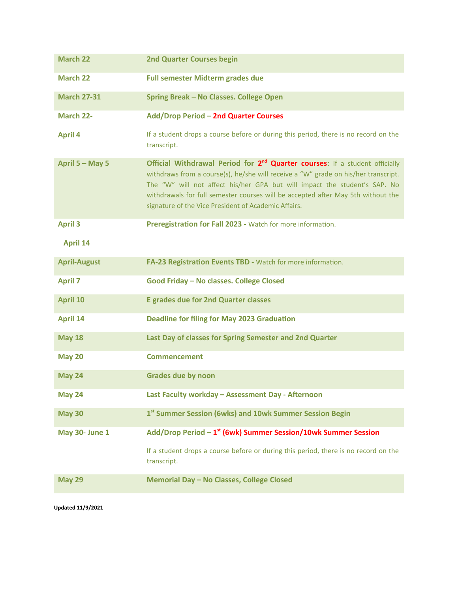| March 22              | <b>2nd Quarter Courses begin</b>                                                                                                                                                                                                                                                                                                                                                                       |
|-----------------------|--------------------------------------------------------------------------------------------------------------------------------------------------------------------------------------------------------------------------------------------------------------------------------------------------------------------------------------------------------------------------------------------------------|
| <b>March 22</b>       | <b>Full semester Midterm grades due</b>                                                                                                                                                                                                                                                                                                                                                                |
| <b>March 27-31</b>    | Spring Break - No Classes. College Open                                                                                                                                                                                                                                                                                                                                                                |
| March 22-             | <b>Add/Drop Period - 2nd Quarter Courses</b>                                                                                                                                                                                                                                                                                                                                                           |
| <b>April 4</b>        | If a student drops a course before or during this period, there is no record on the<br>transcript.                                                                                                                                                                                                                                                                                                     |
| April 5 - May 5       | Official Withdrawal Period for 2 <sup>nd</sup> Quarter courses: If a student officially<br>withdraws from a course(s), he/she will receive a "W" grade on his/her transcript.<br>The "W" will not affect his/her GPA but will impact the student's SAP. No<br>withdrawals for full semester courses will be accepted after May 5th without the<br>signature of the Vice President of Academic Affairs. |
| <b>April 3</b>        | Preregistration for Fall 2023 - Watch for more information.                                                                                                                                                                                                                                                                                                                                            |
| <b>April 14</b>       |                                                                                                                                                                                                                                                                                                                                                                                                        |
| <b>April-August</b>   | FA-23 Registration Events TBD - Watch for more information.                                                                                                                                                                                                                                                                                                                                            |
| <b>April 7</b>        | Good Friday - No classes. College Closed                                                                                                                                                                                                                                                                                                                                                               |
| <b>April 10</b>       | <b>E</b> grades due for 2nd Quarter classes                                                                                                                                                                                                                                                                                                                                                            |
| <b>April 14</b>       | <b>Deadline for filing for May 2023 Graduation</b>                                                                                                                                                                                                                                                                                                                                                     |
| <b>May 18</b>         | Last Day of classes for Spring Semester and 2nd Quarter                                                                                                                                                                                                                                                                                                                                                |
| <b>May 20</b>         | <b>Commencement</b>                                                                                                                                                                                                                                                                                                                                                                                    |
| May 24                | <b>Grades due by noon</b>                                                                                                                                                                                                                                                                                                                                                                              |
| <b>May 24</b>         | Last Faculty workday - Assessment Day - Afternoon                                                                                                                                                                                                                                                                                                                                                      |
| <b>May 30</b>         | 1st Summer Session (6wks) and 10wk Summer Session Begin                                                                                                                                                                                                                                                                                                                                                |
| <b>May 30- June 1</b> | Add/Drop Period $-1st$ (6wk) Summer Session/10wk Summer Session                                                                                                                                                                                                                                                                                                                                        |
|                       | If a student drops a course before or during this period, there is no record on the<br>transcript.                                                                                                                                                                                                                                                                                                     |
| <b>May 29</b>         | Memorial Day - No Classes, College Closed                                                                                                                                                                                                                                                                                                                                                              |